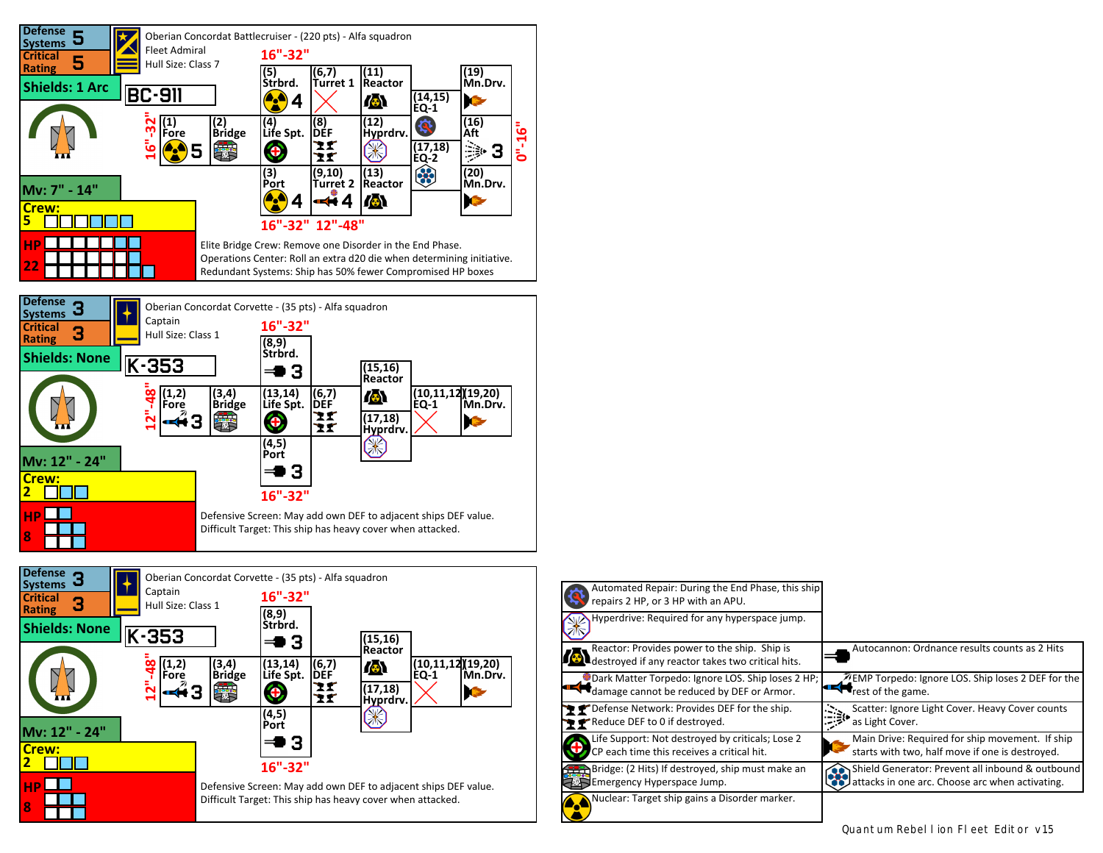

Defensive Screen: May add own DEF to adjacent ships DEF value. Difficult Target: This ship has heavy cover when attacked.

 **8**

TEL

| Automated Repair: During the End Phase, this ship<br>repairs 2 HP, or 3 HP with an APU.           |                                                    |
|---------------------------------------------------------------------------------------------------|----------------------------------------------------|
| Hyperdrive: Required for any hyperspace jump.                                                     |                                                    |
| Reactor: Provides power to the ship. Ship is<br>destroyed if any reactor takes two critical hits. | Autocannon: Ordnance results counts as 2 Hits      |
| Dark Matter Torpedo: Ignore LOS. Ship loses 2 HP;                                                 | ZEMP Torpedo: Ignore LOS. Ship loses 2 DEF for the |
| damage cannot be reduced by DEF or Armor.                                                         | rest of the game.                                  |
| P Pefense Network: Provides DEF for the ship.                                                     | Scatter: Ignore Light Cover. Heavy Cover counts    |
| Reduce DEF to 0 if destroyed.                                                                     | as Light Cover.                                    |
| Life Support: Not destroyed by criticals; Lose 2                                                  | Main Drive: Required for ship movement. If ship    |
| CP each time this receives a critical hit.                                                        | starts with two, half move if one is destroyed.    |
| Bridge: (2 Hits) If destroyed, ship must make an                                                  | Shield Generator: Prevent all inbound & outbound   |
| Emergency Hyperspace Jump.                                                                        | attacks in one arc. Choose arc when activating.    |
| Nuclear: Target ship gains a Disorder marker.                                                     |                                                    |

Quantum Rebellion Fleet Editor v1.5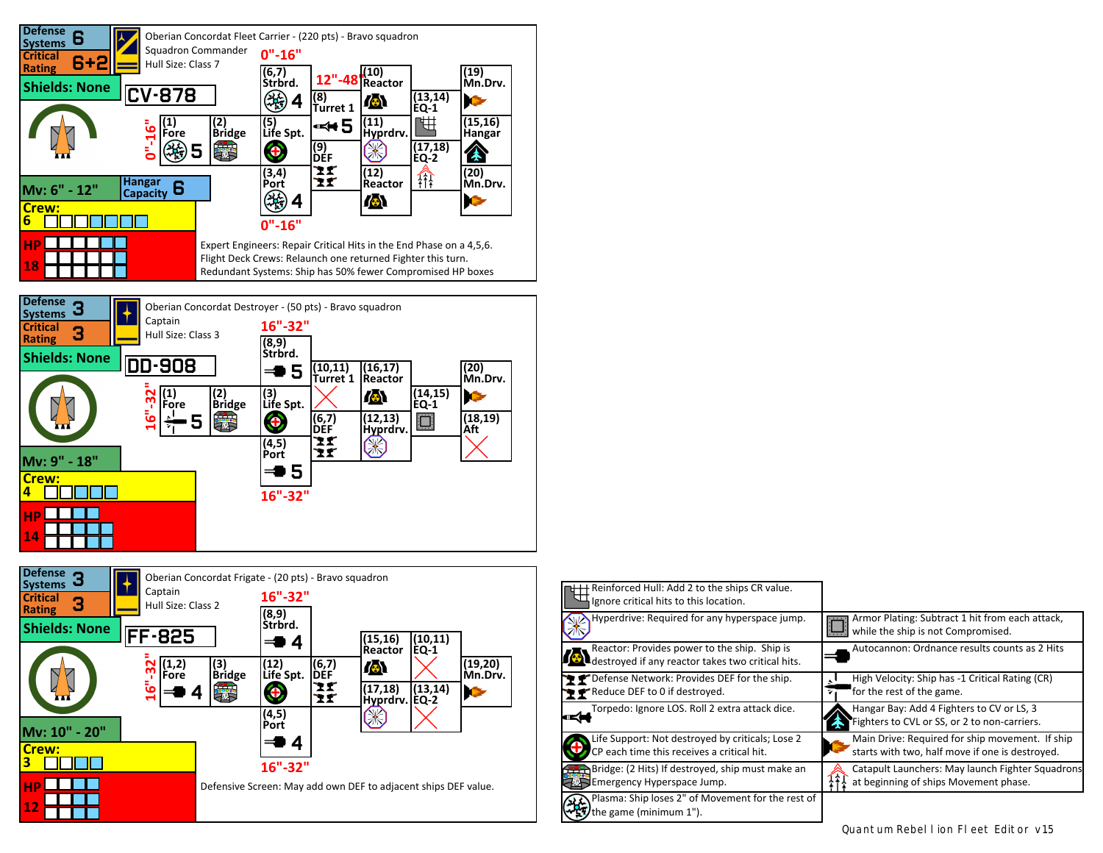



| Reinforced Hull: Add 2 to the ships CR value.<br>Ignore critical hits to this location.                          |                                                                                                    |
|------------------------------------------------------------------------------------------------------------------|----------------------------------------------------------------------------------------------------|
| Hyperdrive: Required for any hyperspace jump.                                                                    | Armor Plating: Subtract 1 hit from each attack,<br>while the ship is not Compromised.              |
| Reactor: Provides power to the ship. Ship is<br>$\blacksquare$ destroyed if any reactor takes two critical hits. | Autocannon: Ordnance results counts as 2 Hits                                                      |
| P P Defense Network: Provides DEF for the ship.<br>Reduce DEF to 0 if destroyed.                                 | High Velocity: Ship has -1 Critical Rating (CR)<br>for the rest of the game.<br>71                 |
| Torpedo: Ignore LOS. Roll 2 extra attack dice.                                                                   | Hangar Bay: Add 4 Fighters to CV or LS, 3<br>Fighters to CVL or SS, or 2 to non-carriers.          |
| Life Support: Not destroyed by criticals; Lose 2<br>CP each time this receives a critical hit.                   | Main Drive: Required for ship movement. If ship<br>starts with two, half move if one is destroyed. |
| Bridge: (2 Hits) If destroyed, ship must make an<br>Emergency Hyperspace Jump.                                   | Catapult Launchers: May launch Fighter Squadrons<br>at beginning of ships Movement phase.          |
| Plasma: Ship loses 2" of Movement for the rest of<br>the game (minimum 1").                                      |                                                                                                    |

Quantum Rebellion Fleet Editor v1.5